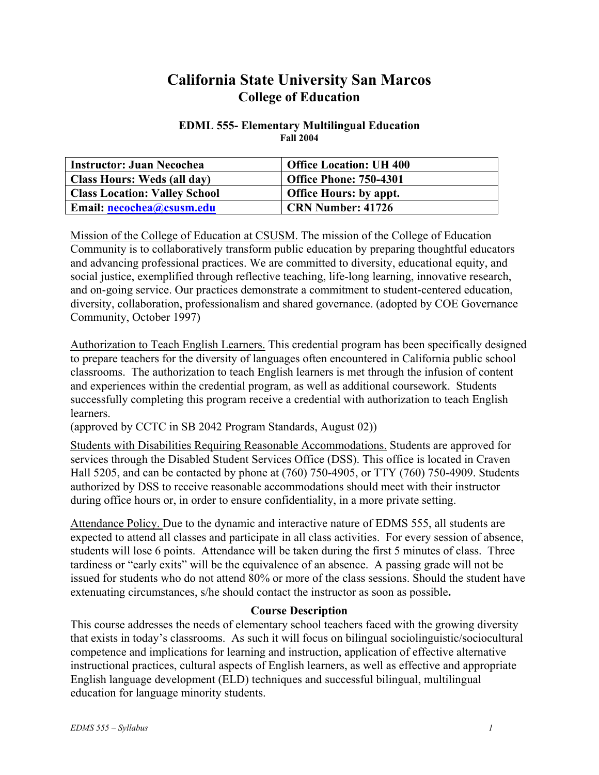# **California State University San Marcos College of Education**

#### **EDML 555- Elementary Multilingual Education Fall 2004**

| <b>Instructor: Juan Necochea</b>     | <b>Office Location: UH 400</b> |
|--------------------------------------|--------------------------------|
| Class Hours: Weds (all day)          | <b>Office Phone: 750-4301</b>  |
| <b>Class Location: Valley School</b> | <b>Office Hours: by appt.</b>  |
| Email: necochea@csusm.edu            | <b>CRN Number: 41726</b>       |

Mission of the College of Education at CSUSM. The mission of the College of Education Community is to collaboratively transform public education by preparing thoughtful educators and advancing professional practices. We are committed to diversity, educational equity, and social justice, exemplified through reflective teaching, life-long learning, innovative research, and on-going service. Our practices demonstrate a commitment to student-centered education, diversity, collaboration, professionalism and shared governance. (adopted by COE Governance Community, October 1997)

Authorization to Teach English Learners. This credential program has been specifically designed to prepare teachers for the diversity of languages often encountered in California public school classrooms. The authorization to teach English learners is met through the infusion of content and experiences within the credential program, as well as additional coursework. Students successfully completing this program receive a credential with authorization to teach English learners.

(approved by CCTC in SB 2042 Program Standards, August 02))

Students with Disabilities Requiring Reasonable Accommodations. Students are approved for services through the Disabled Student Services Office (DSS). This office is located in Craven Hall 5205, and can be contacted by phone at (760) 750-4905, or TTY (760) 750-4909. Students authorized by DSS to receive reasonable accommodations should meet with their instructor during office hours or, in order to ensure confidentiality, in a more private setting.

Attendance Policy. Due to the dynamic and interactive nature of EDMS 555, all students are expected to attend all classes and participate in all class activities. For every session of absence, students will lose 6 points. Attendance will be taken during the first 5 minutes of class. Three tardiness or "early exits" will be the equivalence of an absence. A passing grade will not be issued for students who do not attend 80% or more of the class sessions. Should the student have extenuating circumstances, s/he should contact the instructor as soon as possible**.**

#### **Course Description**

This course addresses the needs of elementary school teachers faced with the growing diversity that exists in today's classrooms. As such it will focus on bilingual sociolinguistic/sociocultural competence and implications for learning and instruction, application of effective alternative instructional practices, cultural aspects of English learners, as well as effective and appropriate English language development (ELD) techniques and successful bilingual, multilingual education for language minority students.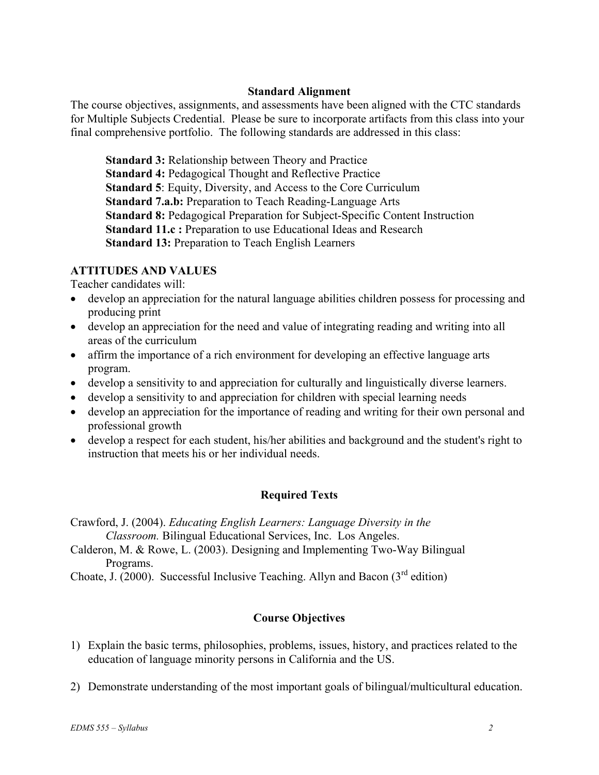## **Standard Alignment**

The course objectives, assignments, and assessments have been aligned with the CTC standards for Multiple Subjects Credential. Please be sure to incorporate artifacts from this class into your final comprehensive portfolio. The following standards are addressed in this class:

**Standard 3:** Relationship between Theory and Practice **Standard 4:** Pedagogical Thought and Reflective Practice **Standard 5**: Equity, Diversity, and Access to the Core Curriculum **Standard 7.a.b:** Preparation to Teach Reading-Language Arts **Standard 8:** Pedagogical Preparation for Subject-Specific Content Instruction **Standard 11.c :** Preparation to use Educational Ideas and Research **Standard 13:** Preparation to Teach English Learners

# **ATTITUDES AND VALUES**

Teacher candidates will:

- develop an appreciation for the natural language abilities children possess for processing and producing print
- develop an appreciation for the need and value of integrating reading and writing into all areas of the curriculum
- affirm the importance of a rich environment for developing an effective language arts program.
- develop a sensitivity to and appreciation for culturally and linguistically diverse learners.
- develop a sensitivity to and appreciation for children with special learning needs
- develop an appreciation for the importance of reading and writing for their own personal and professional growth
- develop a respect for each student, his/her abilities and background and the student's right to instruction that meets his or her individual needs.

# **Required Texts**

Crawford, J. (2004). *Educating English Learners: Language Diversity in the Classroom.* Bilingual Educational Services, Inc. Los Angeles.

Calderon, M. & Rowe, L. (2003). Designing and Implementing Two-Way Bilingual Programs.

Choate, J. (2000). Successful Inclusive Teaching. Allyn and Bacon  $(3<sup>rd</sup>$  edition)

# **Course Objectives**

- 1) Explain the basic terms, philosophies, problems, issues, history, and practices related to the education of language minority persons in California and the US.
- 2) Demonstrate understanding of the most important goals of bilingual/multicultural education.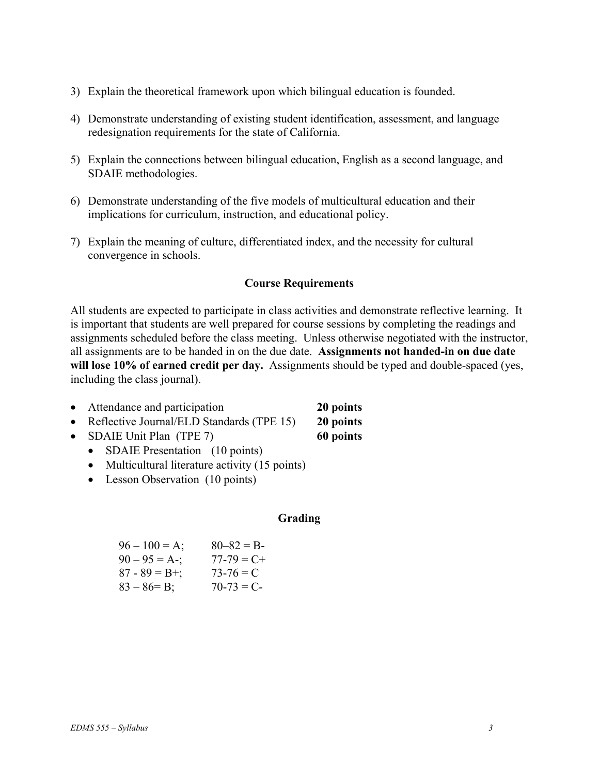- 3) Explain the theoretical framework upon which bilingual education is founded.
- 4) Demonstrate understanding of existing student identification, assessment, and language redesignation requirements for the state of California.
- 5) Explain the connections between bilingual education, English as a second language, and SDAIE methodologies.
- 6) Demonstrate understanding of the five models of multicultural education and their implications for curriculum, instruction, and educational policy.
- 7) Explain the meaning of culture, differentiated index, and the necessity for cultural convergence in schools.

## **Course Requirements**

All students are expected to participate in class activities and demonstrate reflective learning. It is important that students are well prepared for course sessions by completing the readings and assignments scheduled before the class meeting. Unless otherwise negotiated with the instructor, all assignments are to be handed in on the due date. **Assignments not handed-in on due date will lose 10% of earned credit per day.** Assignments should be typed and double-spaced (yes, including the class journal).

- Attendance and participation **20 points**
- Reflective Journal/ELD Standards (TPE 15) **20 points**
- SDAIE Unit Plan (TPE 7) **60 points**
	- SDAIE Presentation (10 points)
	- Multicultural literature activity (15 points)
	- Lesson Observation (10 points)

#### **Grading**

| $96 - 100 = A$ ;  | $80 - 82 = B$   |
|-------------------|-----------------|
| $90 - 95 = A -$ ; | $77 - 79 = C +$ |
| $87 - 89 = B +$ ; | $73 - 76 = C$   |
| $83 - 86 = B$ ;   | $70-73 = C$     |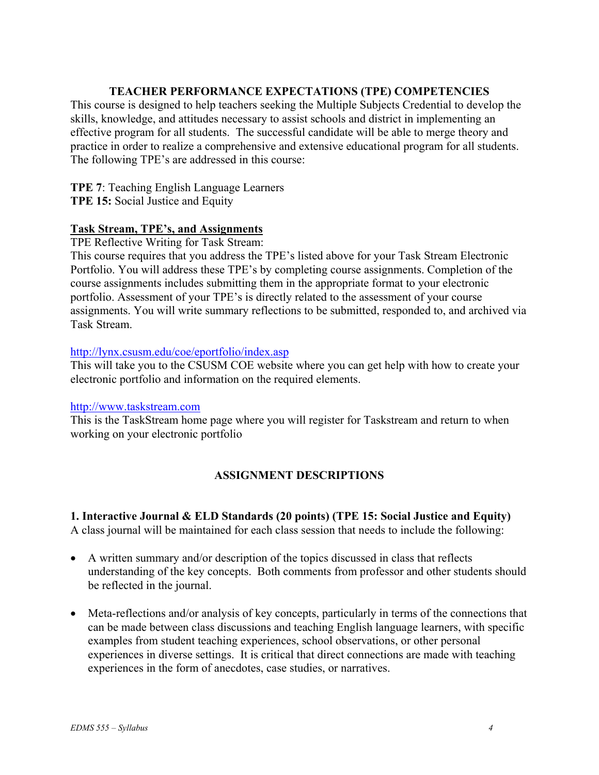# **TEACHER PERFORMANCE EXPECTATIONS (TPE) COMPETENCIES**

This course is designed to help teachers seeking the Multiple Subjects Credential to develop the skills, knowledge, and attitudes necessary to assist schools and district in implementing an effective program for all students. The successful candidate will be able to merge theory and practice in order to realize a comprehensive and extensive educational program for all students. The following TPE's are addressed in this course:

**TPE 7**: Teaching English Language Learners

**TPE 15:** Social Justice and Equity

## **Task Stream, TPE's, and Assignments**

TPE Reflective Writing for Task Stream:

This course requires that you address the TPE's listed above for your Task Stream Electronic Portfolio. You will address these TPE's by completing course assignments. Completion of the course assignments includes submitting them in the appropriate format to your electronic portfolio. Assessment of your TPE's is directly related to the assessment of your course assignments. You will write summary reflections to be submitted, responded to, and archived via Task Stream.

## http://lynx.csusm.edu/coe/eportfolio/index.asp

This will take you to the CSUSM COE website where you can get help with how to create your electronic portfolio and information on the required elements.

#### http://www.taskstream.com

This is the TaskStream home page where you will register for Taskstream and return to when working on your electronic portfolio

# **ASSIGNMENT DESCRIPTIONS**

#### **1. Interactive Journal & ELD Standards (20 points) (TPE 15: Social Justice and Equity)** A class journal will be maintained for each class session that needs to include the following:

- A written summary and/or description of the topics discussed in class that reflects understanding of the key concepts. Both comments from professor and other students should be reflected in the journal.
- Meta-reflections and/or analysis of key concepts, particularly in terms of the connections that can be made between class discussions and teaching English language learners, with specific examples from student teaching experiences, school observations, or other personal experiences in diverse settings. It is critical that direct connections are made with teaching experiences in the form of anecdotes, case studies, or narratives.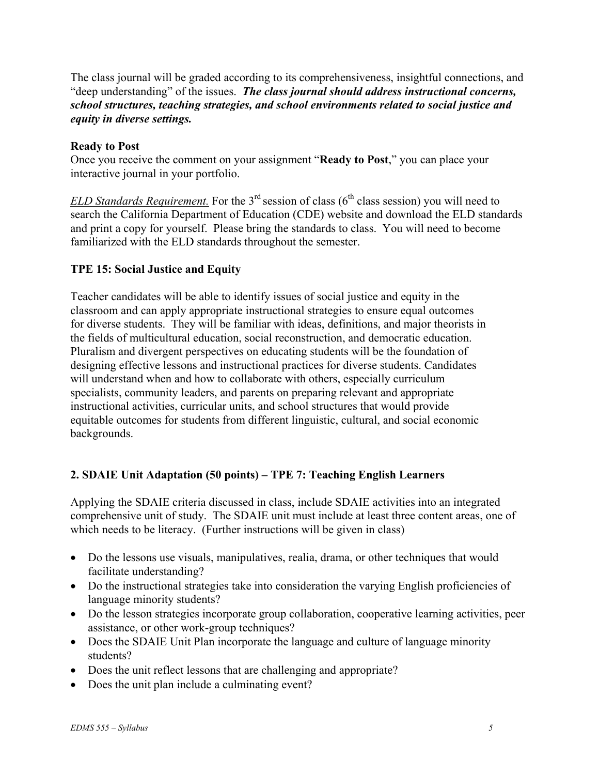The class journal will be graded according to its comprehensiveness, insightful connections, and "deep understanding" of the issues. *The class journal should address instructional concerns, school structures, teaching strategies, and school environments related to social justice and equity in diverse settings.*

## **Ready to Post**

Once you receive the comment on your assignment "**Ready to Post**," you can place your interactive journal in your portfolio.

*ELD Standards Requirement.* For the  $3<sup>rd</sup>$  session of class ( $6<sup>th</sup>$  class session) you will need to search the California Department of Education (CDE) website and download the ELD standards and print a copy for yourself. Please bring the standards to class. You will need to become familiarized with the ELD standards throughout the semester.

# **TPE 15: Social Justice and Equity**

Teacher candidates will be able to identify issues of social justice and equity in the classroom and can apply appropriate instructional strategies to ensure equal outcomes for diverse students. They will be familiar with ideas, definitions, and major theorists in the fields of multicultural education, social reconstruction, and democratic education. Pluralism and divergent perspectives on educating students will be the foundation of designing effective lessons and instructional practices for diverse students. Candidates will understand when and how to collaborate with others, especially curriculum specialists, community leaders, and parents on preparing relevant and appropriate instructional activities, curricular units, and school structures that would provide equitable outcomes for students from different linguistic, cultural, and social economic backgrounds.

# **2. SDAIE Unit Adaptation (50 points) – TPE 7: Teaching English Learners**

Applying the SDAIE criteria discussed in class, include SDAIE activities into an integrated comprehensive unit of study. The SDAIE unit must include at least three content areas, one of which needs to be literacy. (Further instructions will be given in class)

- Do the lessons use visuals, manipulatives, realia, drama, or other techniques that would facilitate understanding?
- Do the instructional strategies take into consideration the varying English proficiencies of language minority students?
- Do the lesson strategies incorporate group collaboration, cooperative learning activities, peer assistance, or other work-group techniques?
- Does the SDAIE Unit Plan incorporate the language and culture of language minority students?
- Does the unit reflect lessons that are challenging and appropriate?
- Does the unit plan include a culminating event?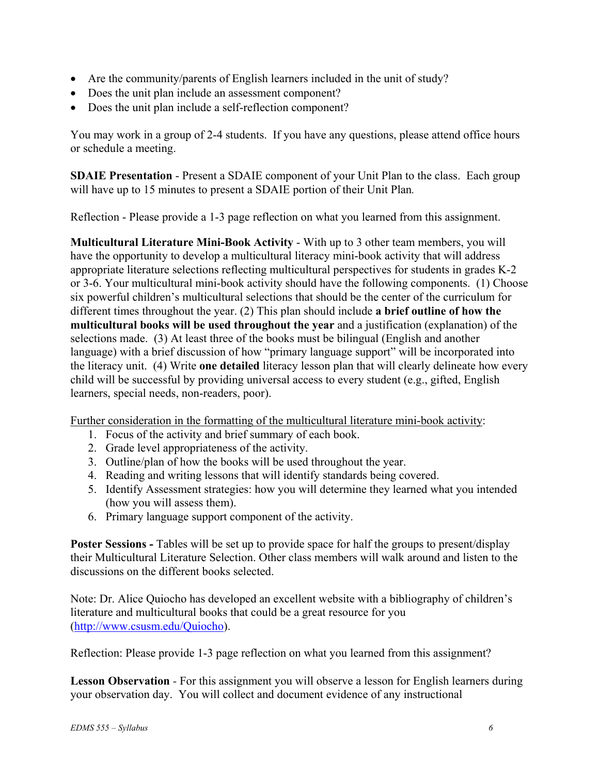- Are the community/parents of English learners included in the unit of study?
- Does the unit plan include an assessment component?
- Does the unit plan include a self-reflection component?

You may work in a group of 2-4 students. If you have any questions, please attend office hours or schedule a meeting.

**SDAIE Presentation - Present a SDAIE component of your Unit Plan to the class. Each group** will have up to 15 minutes to present a SDAIE portion of their Unit Plan*.*

Reflection - Please provide a 1-3 page reflection on what you learned from this assignment.

**Multicultural Literature Mini-Book Activity** - With up to 3 other team members, you will have the opportunity to develop a multicultural literacy mini-book activity that will address appropriate literature selections reflecting multicultural perspectives for students in grades K-2 or 3-6. Your multicultural mini-book activity should have the following components. (1) Choose six powerful children's multicultural selections that should be the center of the curriculum for different times throughout the year. (2) This plan should include **a brief outline of how the multicultural books will be used throughout the year** and a justification (explanation) of the selections made. (3) At least three of the books must be bilingual (English and another language) with a brief discussion of how "primary language support" will be incorporated into the literacy unit. (4) Write **one detailed** literacy lesson plan that will clearly delineate how every child will be successful by providing universal access to every student (e.g., gifted, English learners, special needs, non-readers, poor).

Further consideration in the formatting of the multicultural literature mini-book activity:

- 1. Focus of the activity and brief summary of each book.
- 2. Grade level appropriateness of the activity.
- 3. Outline/plan of how the books will be used throughout the year.
- 4. Reading and writing lessons that will identify standards being covered.
- 5. Identify Assessment strategies: how you will determine they learned what you intended (how you will assess them).
- 6. Primary language support component of the activity.

**Poster Sessions -** Tables will be set up to provide space for half the groups to present/display their Multicultural Literature Selection. Other class members will walk around and listen to the discussions on the different books selected.

Note: Dr. Alice Quiocho has developed an excellent website with a bibliography of children's literature and multicultural books that could be a great resource for you (http://www.csusm.edu/Quiocho).

Reflection: Please provide 1-3 page reflection on what you learned from this assignment?

**Lesson Observation** *-* For this assignment you will observe a lesson for English learners during your observation day. You will collect and document evidence of any instructional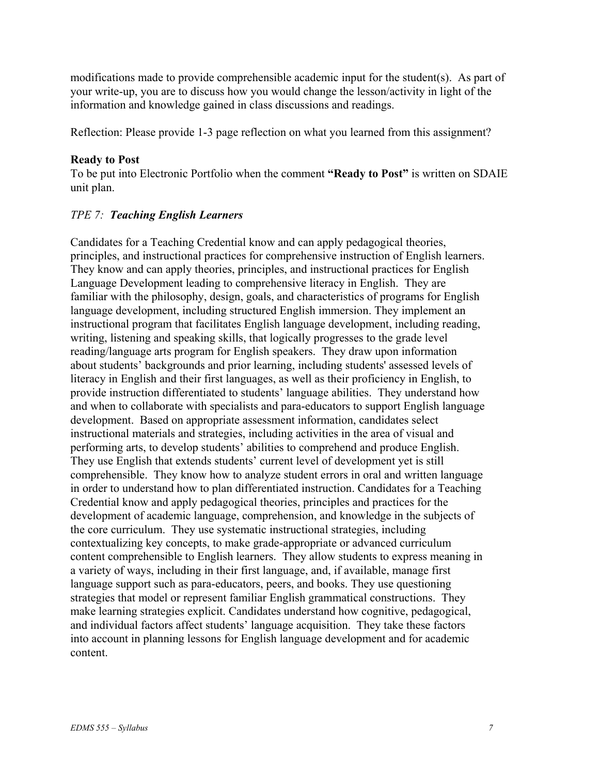modifications made to provide comprehensible academic input for the student(s). As part of your write-up, you are to discuss how you would change the lesson/activity in light of the information and knowledge gained in class discussions and readings.

Reflection: Please provide 1-3 page reflection on what you learned from this assignment?

## **Ready to Post**

To be put into Electronic Portfolio when the comment **"Ready to Post"** is written on SDAIE unit plan.

# *TPE 7: Teaching English Learners*

Candidates for a Teaching Credential know and can apply pedagogical theories, principles, and instructional practices for comprehensive instruction of English learners. They know and can apply theories, principles, and instructional practices for English Language Development leading to comprehensive literacy in English. They are familiar with the philosophy, design, goals, and characteristics of programs for English language development, including structured English immersion. They implement an instructional program that facilitates English language development, including reading, writing, listening and speaking skills, that logically progresses to the grade level reading/language arts program for English speakers. They draw upon information about students' backgrounds and prior learning, including students' assessed levels of literacy in English and their first languages, as well as their proficiency in English, to provide instruction differentiated to students' language abilities. They understand how and when to collaborate with specialists and para-educators to support English language development. Based on appropriate assessment information, candidates select instructional materials and strategies, including activities in the area of visual and performing arts, to develop students' abilities to comprehend and produce English. They use English that extends students' current level of development yet is still comprehensible. They know how to analyze student errors in oral and written language in order to understand how to plan differentiated instruction. Candidates for a Teaching Credential know and apply pedagogical theories, principles and practices for the development of academic language, comprehension, and knowledge in the subjects of the core curriculum. They use systematic instructional strategies, including contextualizing key concepts, to make grade-appropriate or advanced curriculum content comprehensible to English learners. They allow students to express meaning in a variety of ways, including in their first language, and, if available, manage first language support such as para-educators, peers, and books. They use questioning strategies that model or represent familiar English grammatical constructions. They make learning strategies explicit. Candidates understand how cognitive, pedagogical, and individual factors affect students' language acquisition. They take these factors into account in planning lessons for English language development and for academic content.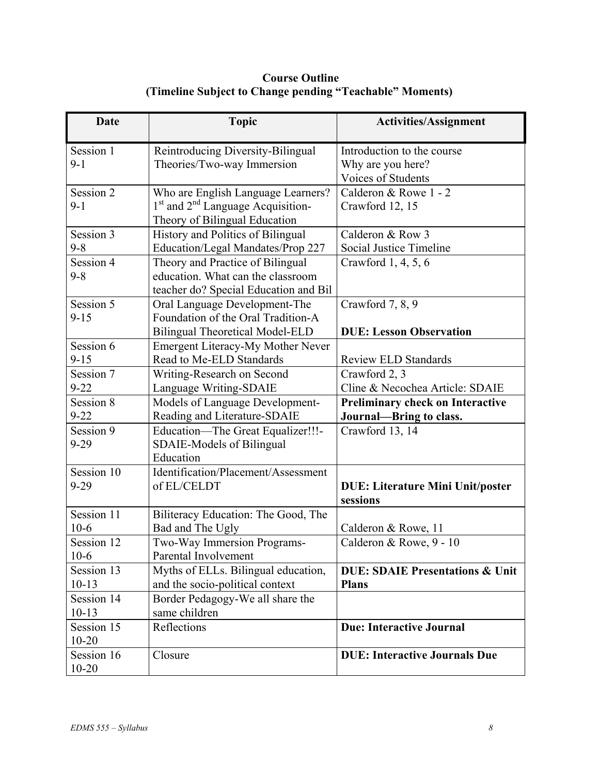**Course Outline (Timeline Subject to Change pending "Teachable" Moments)** 

| <b>Date</b>            | <b>Topic</b>                             | <b>Activities/Assignment</b>               |
|------------------------|------------------------------------------|--------------------------------------------|
| Session 1              | Reintroducing Diversity-Bilingual        | Introduction to the course                 |
| $9 - 1$                | Theories/Two-way Immersion               | Why are you here?                          |
|                        |                                          | Voices of Students                         |
| Session 2              | Who are English Language Learners?       | Calderon & Rowe 1 - 2                      |
| $9 - 1$                | $1st$ and $2nd$ Language Acquisition-    | Crawford 12, 15                            |
|                        | Theory of Bilingual Education            |                                            |
| Session 3              | History and Politics of Bilingual        | Calderon & Row 3                           |
| $9 - 8$                | Education/Legal Mandates/Prop 227        | <b>Social Justice Timeline</b>             |
| Session $\overline{4}$ | Theory and Practice of Bilingual         | Crawford 1, 4, 5, 6                        |
| $9 - 8$                | education. What can the classroom        |                                            |
|                        | teacher do? Special Education and Bil    |                                            |
| Session 5              | Oral Language Development-The            | Crawford 7, 8, 9                           |
| $9 - 15$               | Foundation of the Oral Tradition-A       |                                            |
|                        | <b>Bilingual Theoretical Model-ELD</b>   | <b>DUE: Lesson Observation</b>             |
| Session 6              | <b>Emergent Literacy-My Mother Never</b> |                                            |
| $9 - 15$               | Read to Me-ELD Standards                 | <b>Review ELD Standards</b>                |
| Session 7              | Writing-Research on Second               | Crawford 2, 3                              |
| $9 - 22$               | Language Writing-SDAIE                   | Cline & Necochea Article: SDAIE            |
| Session 8              | Models of Language Development-          | <b>Preliminary check on Interactive</b>    |
| $9 - 22$               | Reading and Literature-SDAIE             | <b>Journal-Bring to class.</b>             |
| Session 9              | Education-The Great Equalizer!!!-        | Crawford 13, 14                            |
| $9 - 29$               | SDAIE-Models of Bilingual                |                                            |
|                        | Education                                |                                            |
| Session 10             | Identification/Placement/Assessment      |                                            |
| $9 - 29$               | of EL/CELDT                              | <b>DUE: Literature Mini Unit/poster</b>    |
|                        |                                          | sessions                                   |
| Session 11             | Biliteracy Education: The Good, The      |                                            |
| $10-6$                 | Bad and The Ugly                         | Calderon & Rowe, 11                        |
| Session 12             | Two-Way Immersion Programs-              | Calderon & Rowe, 9 - 10                    |
| $10-6$                 | Parental Involvement                     |                                            |
| Session 13             | Myths of ELLs. Bilingual education,      | <b>DUE: SDAIE Presentations &amp; Unit</b> |
| $10-13$                | and the socio-political context          | <b>Plans</b>                               |
| Session 14             | Border Pedagogy-We all share the         |                                            |
| $10-13$                | same children                            |                                            |
| Session 15             | Reflections                              | <b>Due: Interactive Journal</b>            |
| $10 - 20$              |                                          |                                            |
| Session 16             | Closure                                  | <b>DUE: Interactive Journals Due</b>       |
| $10 - 20$              |                                          |                                            |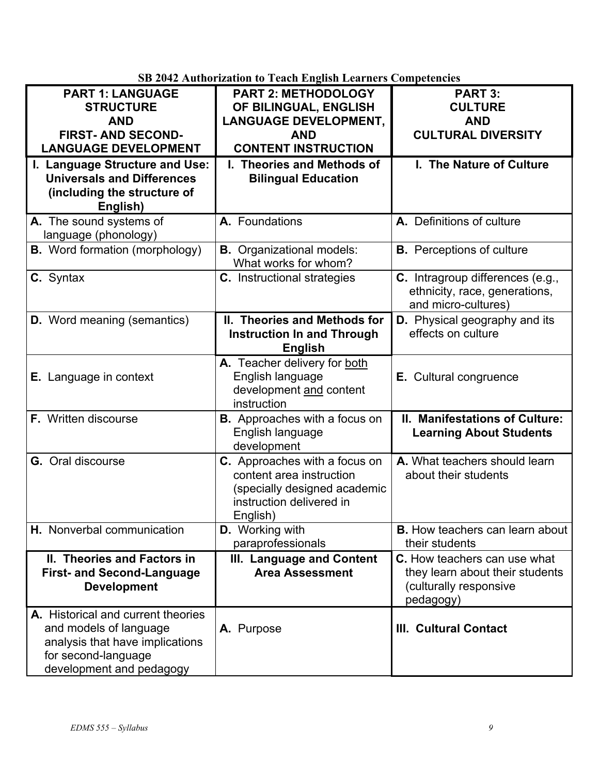|                                       | SD 2042 Authorization to Teach English Learners Competencies |                                        |
|---------------------------------------|--------------------------------------------------------------|----------------------------------------|
| <b>PART 1: LANGUAGE</b>               | <b>PART 2: METHODOLOGY</b>                                   | <b>PART 3:</b>                         |
| <b>STRUCTURE</b>                      | OF BILINGUAL, ENGLISH                                        | <b>CULTURE</b>                         |
| <b>AND</b>                            | <b>LANGUAGE DEVELOPMENT,</b>                                 | <b>AND</b>                             |
| <b>FIRST- AND SECOND-</b>             | <b>AND</b>                                                   | <b>CULTURAL DIVERSITY</b>              |
| <b>LANGUAGE DEVELOPMENT</b>           | <b>CONTENT INSTRUCTION</b>                                   |                                        |
| I. Language Structure and Use:        | I. Theories and Methods of                                   | I. The Nature of Culture               |
| <b>Universals and Differences</b>     | <b>Bilingual Education</b>                                   |                                        |
| (including the structure of           |                                                              |                                        |
| English)                              |                                                              |                                        |
| A. The sound systems of               | A. Foundations                                               | A. Definitions of culture              |
| language (phonology)                  |                                                              |                                        |
| <b>B.</b> Word formation (morphology) | <b>B.</b> Organizational models:                             | <b>B.</b> Perceptions of culture       |
|                                       | What works for whom?                                         |                                        |
| C. Syntax                             | <b>C.</b> Instructional strategies                           | C. Intragroup differences (e.g.,       |
|                                       |                                                              | ethnicity, race, generations,          |
|                                       |                                                              | and micro-cultures)                    |
| <b>D.</b> Word meaning (semantics)    | II. Theories and Methods for                                 | <b>D.</b> Physical geography and its   |
|                                       | <b>Instruction In and Through</b>                            | effects on culture                     |
|                                       | <b>English</b>                                               |                                        |
|                                       | A. Teacher delivery for both                                 |                                        |
| <b>E.</b> Language in context         | English language                                             | E. Cultural congruence                 |
|                                       | development and content                                      |                                        |
|                                       | instruction                                                  |                                        |
| F. Written discourse                  | <b>B.</b> Approaches with a focus on                         | II. Manifestations of Culture:         |
|                                       | English language                                             | <b>Learning About Students</b>         |
|                                       | development                                                  |                                        |
| <b>G.</b> Oral discourse              | C. Approaches with a focus on                                | A. What teachers should learn          |
|                                       | content area instruction                                     | about their students                   |
|                                       | (specially designed academic                                 |                                        |
|                                       | instruction delivered in                                     |                                        |
|                                       | English)                                                     |                                        |
| H. Nonverbal communication            | <b>D.</b> Working with                                       | <b>B.</b> How teachers can learn about |
|                                       | paraprofessionals                                            | their students                         |
| II. Theories and Factors in           | III. Language and Content                                    | C. How teachers can use what           |
| <b>First- and Second-Language</b>     | <b>Area Assessment</b>                                       | they learn about their students        |
| <b>Development</b>                    |                                                              | (culturally responsive                 |
|                                       |                                                              | pedagogy)                              |
| A. Historical and current theories    |                                                              |                                        |
| and models of language                | A. Purpose                                                   | <b>III. Cultural Contact</b>           |
| analysis that have implications       |                                                              |                                        |
| for second-language                   |                                                              |                                        |
| development and pedagogy              |                                                              |                                        |

**SB 2042 Authorization to Teach English Learners Competencies**